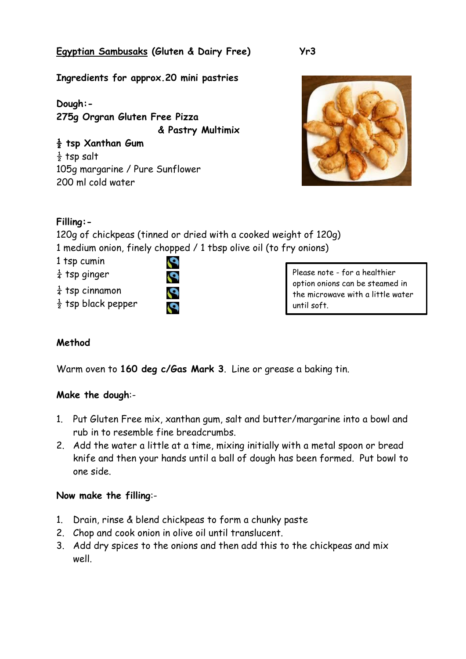## **Egyptian Sambusaks (Gluten & Dairy Free)**

**Yr3**

**Ingredients for approx.20 mini pastries**

**Dough:- 275g Orgran Gluten Free Pizza & Pastry Multimix**

**½ tsp Xanthan Gum**  $\frac{1}{2}$  tsp salt 105g margarine / Pure Sunflower 200 ml cold water



# **Filling:-**

120g of chickpeas (tinned or dried with a cooked weight of 120g) 1 medium onion, finely chopped / 1 tbsp olive oil (to fry onions)

Q

1 tsp cumin

- $\frac{1}{4}$  tsp ginger
- $\frac{1}{4}$  tsp cinnamon
- $\frac{1}{2}$  tsp black pepper

Please note - for a healthier option onions can be steamed in the microwave with a little water until soft.

## **Method**

Warm oven to **160 deg c/Gas Mark 3**. Line or grease a baking tin.

#### **Make the dough**:-

- 1. Put Gluten Free mix, xanthan gum, salt and butter/margarine into a bowl and rub in to resemble fine breadcrumbs.
- 2. Add the water a little at a time, mixing initially with a metal spoon or bread knife and then your hands until a ball of dough has been formed. Put bowl to one side.

#### **Now make the filling**:-

- 1. Drain, rinse & blend chickpeas to form a chunky paste
- 2. Chop and cook onion in olive oil until translucent.
- 3. Add dry spices to the onions and then add this to the chickpeas and mix well.